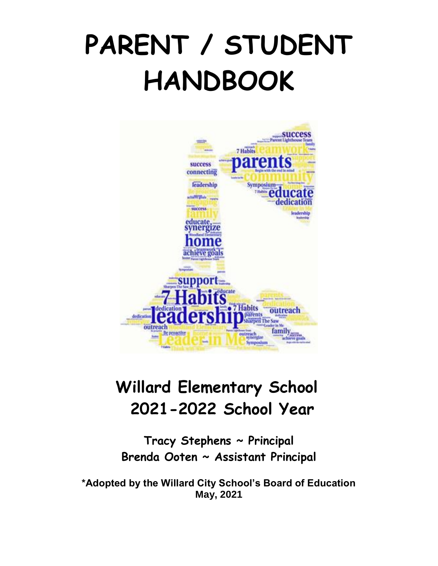# **PARENT / STUDENT HANDBOOK**



# **Willard Elementary School 2021-2022 School Year**

**Tracy Stephens ~ Principal Brenda Ooten ~ Assistant Principal**

**\*Adopted by the Willard City School's Board of Education May, 2021**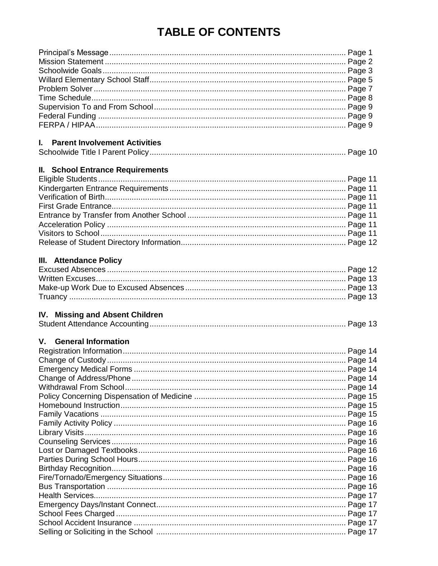# **TABLE OF CONTENTS**

| I. Parent Involvement Activities                                                        |  |
|-----------------------------------------------------------------------------------------|--|
|                                                                                         |  |
| <b>II. School Entrance Requirements</b>                                                 |  |
|                                                                                         |  |
|                                                                                         |  |
|                                                                                         |  |
|                                                                                         |  |
|                                                                                         |  |
|                                                                                         |  |
|                                                                                         |  |
|                                                                                         |  |
| III. Attendance Policy                                                                  |  |
|                                                                                         |  |
|                                                                                         |  |
|                                                                                         |  |
|                                                                                         |  |
|                                                                                         |  |
| IV. Missing and Absent Children                                                         |  |
|                                                                                         |  |
| V. General Information                                                                  |  |
|                                                                                         |  |
|                                                                                         |  |
|                                                                                         |  |
|                                                                                         |  |
|                                                                                         |  |
|                                                                                         |  |
|                                                                                         |  |
|                                                                                         |  |
|                                                                                         |  |
|                                                                                         |  |
|                                                                                         |  |
|                                                                                         |  |
|                                                                                         |  |
|                                                                                         |  |
|                                                                                         |  |
|                                                                                         |  |
|                                                                                         |  |
|                                                                                         |  |
|                                                                                         |  |
|                                                                                         |  |
| Selling or Soliciting in the School measure measure measure measure measure and Page 17 |  |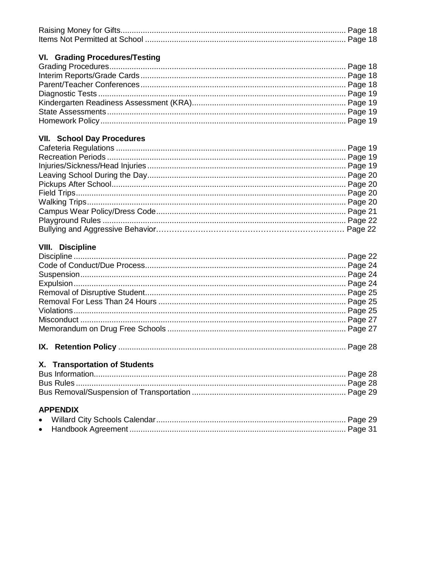#### VI. Grading Procedures/Testing

#### **VII. School Day Procedures**

#### **VIII.** Discipline

#### X. Transportation of Students

#### **APPENDIX**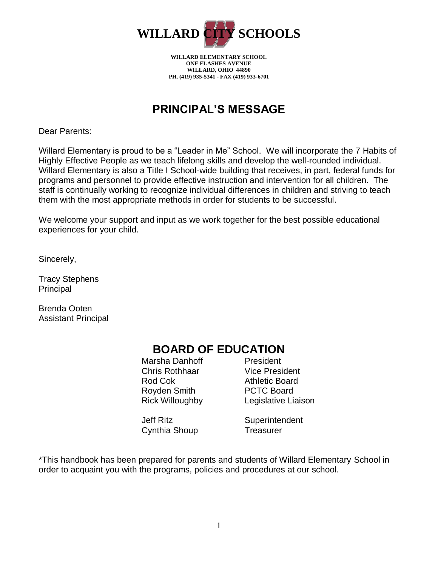

**WILLARD ELEMENTARY SCHOOL ONE FLASHES AVENUE WILLARD, OHIO 44890 PH. (419) 935-5341 - FAX (419) 933-6701**

### **PRINCIPAL'S MESSAGE**

Dear Parents:

Willard Elementary is proud to be a "Leader in Me" School. We will incorporate the 7 Habits of Highly Effective People as we teach lifelong skills and develop the well-rounded individual. Willard Elementary is also a Title I School-wide building that receives, in part, federal funds for programs and personnel to provide effective instruction and intervention for all children. The staff is continually working to recognize individual differences in children and striving to teach them with the most appropriate methods in order for students to be successful.

We welcome your support and input as we work together for the best possible educational experiences for your child.

Sincerely,

Tracy Stephens Principal

Brenda Ooten Assistant Principal

### **BOARD OF EDUCATION**

Marsha Danhoff President Chris Rothhaar Vice President Rod Cok **Athletic Board** Royden Smith PCTC Board

Cynthia Shoup Treasurer

Rick Willoughby Legislative Liaison

Jeff Ritz Superintendent

\*This handbook has been prepared for parents and students of Willard Elementary School in order to acquaint you with the programs, policies and procedures at our school.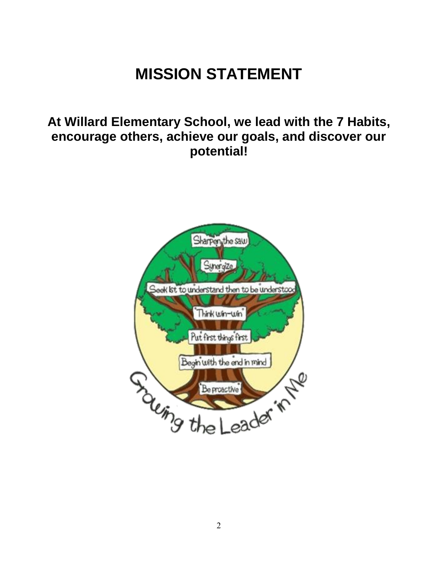# **MISSION STATEMENT**

# **At Willard Elementary School, we lead with the 7 Habits, encourage others, achieve our goals, and discover our potential!**

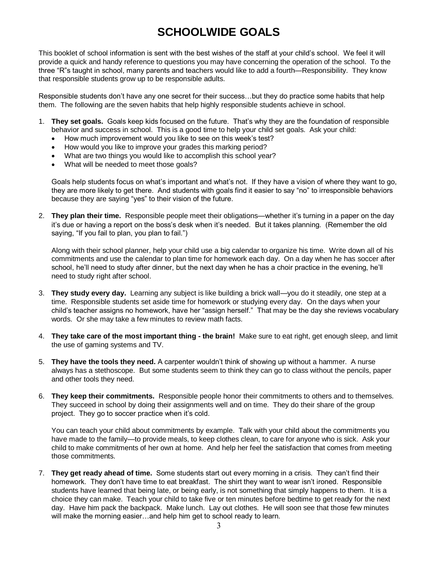## **SCHOOLWIDE GOALS**

This booklet of school information is sent with the best wishes of the staff at your child's school. We feel it will provide a quick and handy reference to questions you may have concerning the operation of the school. To the three "R"s taught in school, many parents and teachers would like to add a fourth—Responsibility. They know that responsible students grow up to be responsible adults.

Responsible students don't have any one secret for their success…but they do practice some habits that help them. The following are the seven habits that help highly responsible students achieve in school.

- 1. **They set goals.** Goals keep kids focused on the future. That's why they are the foundation of responsible behavior and success in school. This is a good time to help your child set goals. Ask your child:
	- How much improvement would you like to see on this week's test?
	- How would you like to improve your grades this marking period?
	- What are two things you would like to accomplish this school year?
	- What will be needed to meet those goals?

Goals help students focus on what's important and what's not. If they have a vision of where they want to go, they are more likely to get there. And students with goals find it easier to say "no" to irresponsible behaviors because they are saying "yes" to their vision of the future.

2. **They plan their time.** Responsible people meet their obligations—whether it's turning in a paper on the day it's due or having a report on the boss's desk when it's needed. But it takes planning. (Remember the old saying, "If you fail to plan, you plan to fail.")

Along with their school planner, help your child use a big calendar to organize his time. Write down all of his commitments and use the calendar to plan time for homework each day. On a day when he has soccer after school, he'll need to study after dinner, but the next day when he has a choir practice in the evening, he'll need to study right after school.

- 3. **They study every day.** Learning any subject is like building a brick wall—you do it steadily, one step at a time. Responsible students set aside time for homework or studying every day. On the days when your child's teacher assigns no homework, have her "assign herself." That may be the day she reviews vocabulary words. Or she may take a few minutes to review math facts.
- 4. **They take care of the most important thing - the brain!** Make sure to eat right, get enough sleep, and limit the use of gaming systems and TV.
- 5. **They have the tools they need.** A carpenter wouldn't think of showing up without a hammer. A nurse always has a stethoscope. But some students seem to think they can go to class without the pencils, paper and other tools they need.
- 6. **They keep their commitments.** Responsible people honor their commitments to others and to themselves. They succeed in school by doing their assignments well and on time. They do their share of the group project. They go to soccer practice when it's cold.

You can teach your child about commitments by example. Talk with your child about the commitments you have made to the family—to provide meals, to keep clothes clean, to care for anyone who is sick. Ask your child to make commitments of her own at home. And help her feel the satisfaction that comes from meeting those commitments.

7. **They get ready ahead of time.** Some students start out every morning in a crisis. They can't find their homework. They don't have time to eat breakfast. The shirt they want to wear isn't ironed. Responsible students have learned that being late, or being early, is not something that simply happens to them. It is a choice they can make. Teach your child to take five or ten minutes before bedtime to get ready for the next day. Have him pack the backpack. Make lunch. Lay out clothes. He will soon see that those few minutes will make the morning easier…and help him get to school ready to learn.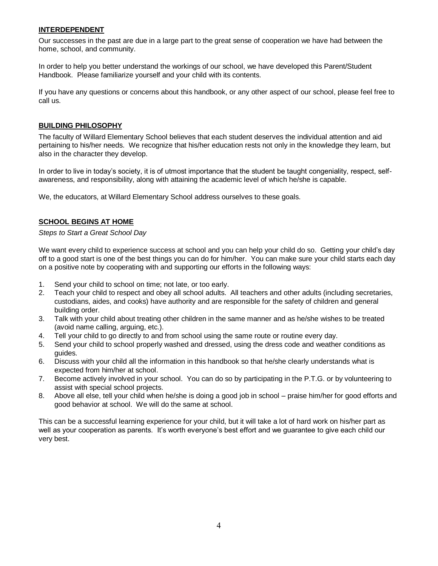#### **INTERDEPENDENT**

Our successes in the past are due in a large part to the great sense of cooperation we have had between the home, school, and community.

In order to help you better understand the workings of our school, we have developed this Parent/Student Handbook. Please familiarize yourself and your child with its contents.

If you have any questions or concerns about this handbook, or any other aspect of our school, please feel free to call us.

#### **BUILDING PHILOSOPHY**

The faculty of Willard Elementary School believes that each student deserves the individual attention and aid pertaining to his/her needs. We recognize that his/her education rests not only in the knowledge they learn, but also in the character they develop.

In order to live in today's society, it is of utmost importance that the student be taught congeniality, respect, selfawareness, and responsibility, along with attaining the academic level of which he/she is capable.

We, the educators, at Willard Elementary School address ourselves to these goals.

#### **SCHOOL BEGINS AT HOME**

*Steps to Start a Great School Day*

We want every child to experience success at school and you can help your child do so. Getting your child's day off to a good start is one of the best things you can do for him/her. You can make sure your child starts each day on a positive note by cooperating with and supporting our efforts in the following ways:

- 1. Send your child to school on time; not late, or too early.
- 2. Teach your child to respect and obey all school adults. All teachers and other adults (including secretaries, custodians, aides, and cooks) have authority and are responsible for the safety of children and general building order.
- 3. Talk with your child about treating other children in the same manner and as he/she wishes to be treated (avoid name calling, arguing, etc.).
- 4. Tell your child to go directly to and from school using the same route or routine every day.
- 5. Send your child to school properly washed and dressed, using the dress code and weather conditions as guides.
- 6. Discuss with your child all the information in this handbook so that he/she clearly understands what is expected from him/her at school.
- 7. Become actively involved in your school. You can do so by participating in the P.T.G. or by volunteering to assist with special school projects.
- 8. Above all else, tell your child when he/she is doing a good job in school praise him/her for good efforts and good behavior at school. We will do the same at school.

This can be a successful learning experience for your child, but it will take a lot of hard work on his/her part as well as your cooperation as parents. It's worth everyone's best effort and we guarantee to give each child our very best.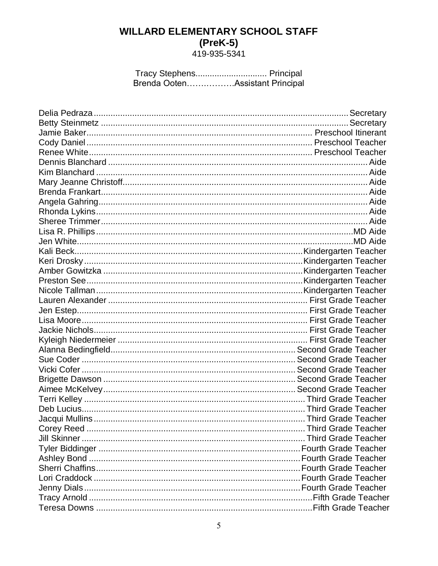# **WILLARD ELEMENTARY SCHOOL STAFF**  $(PreK-5)419-935-5341$

Tracy Stephens................................. Principal<br>Brenda Ooten.................Assistant Principal

| Corey Reed | Third Grade Teacher |
|------------|---------------------|
|            |                     |
|            |                     |
|            |                     |
|            |                     |
|            |                     |
|            |                     |
|            |                     |
|            |                     |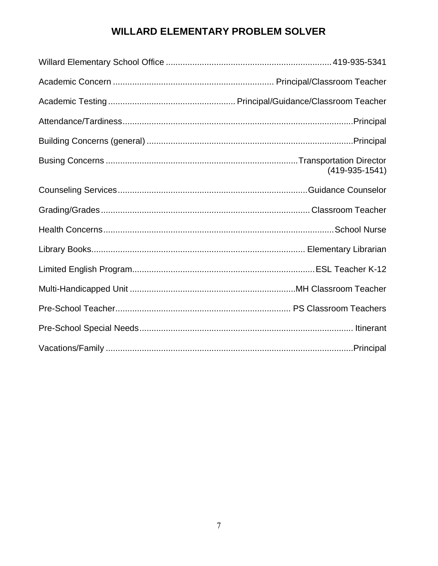### **WILLARD ELEMENTARY PROBLEM SOLVER**

| $(419-935-1541)$ |
|------------------|
|                  |
|                  |
|                  |
|                  |
|                  |
|                  |
|                  |
|                  |
|                  |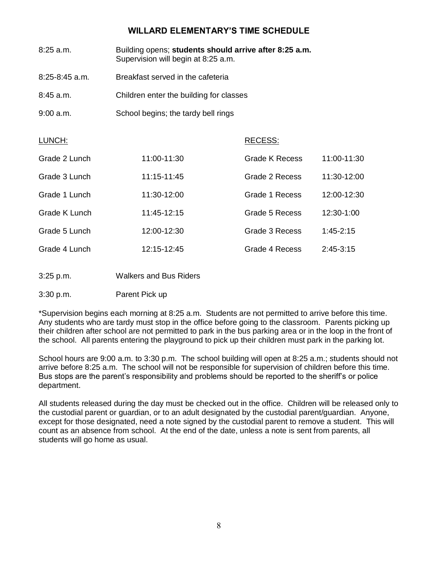#### **WILLARD ELEMENTARY'S TIME SCHEDULE**

| 8:25 a.m.          | Building opens; students should arrive after 8:25 a.m.<br>Supervision will begin at 8:25 a.m. |                                         |               |  |  |
|--------------------|-----------------------------------------------------------------------------------------------|-----------------------------------------|---------------|--|--|
| $8:25 - 8:45$ a.m. | Breakfast served in the cafeteria                                                             |                                         |               |  |  |
| 8:45 a.m.          |                                                                                               | Children enter the building for classes |               |  |  |
| 9:00 a.m.          | School begins; the tardy bell rings                                                           |                                         |               |  |  |
| LUNCH:             |                                                                                               | RECESS:                                 |               |  |  |
| Grade 2 Lunch      | 11:00-11:30                                                                                   | <b>Grade K Recess</b>                   | 11:00-11:30   |  |  |
| Grade 3 Lunch      | 11:15-11:45                                                                                   | Grade 2 Recess                          | 11:30-12:00   |  |  |
| Grade 1 Lunch      | 11:30-12:00                                                                                   | Grade 1 Recess                          | 12:00-12:30   |  |  |
| Grade K Lunch      | 11:45-12:15                                                                                   | Grade 5 Recess                          | 12:30-1:00    |  |  |
| Grade 5 Lunch      | 12:00-12:30                                                                                   | Grade 3 Recess                          | $1:45 - 2:15$ |  |  |
| Grade 4 Lunch      | 12:15-12:45                                                                                   | Grade 4 Recess                          | $2:45-3:15$   |  |  |
| 3:25 p.m.          | <b>Walkers and Bus Riders</b>                                                                 |                                         |               |  |  |
| 3:30 p.m.          | Parent Pick up                                                                                |                                         |               |  |  |

\*Supervision begins each morning at 8:25 a.m. Students are not permitted to arrive before this time. Any students who are tardy must stop in the office before going to the classroom. Parents picking up their children after school are not permitted to park in the bus parking area or in the loop in the front of the school. All parents entering the playground to pick up their children must park in the parking lot.

School hours are 9:00 a.m. to 3:30 p.m. The school building will open at 8:25 a.m.; students should not arrive before 8:25 a.m. The school will not be responsible for supervision of children before this time. Bus stops are the parent's responsibility and problems should be reported to the sheriff's or police department.

All students released during the day must be checked out in the office. Children will be released only to the custodial parent or guardian, or to an adult designated by the custodial parent/guardian. Anyone, except for those designated, need a note signed by the custodial parent to remove a student. This will count as an absence from school. At the end of the date, unless a note is sent from parents, all students will go home as usual.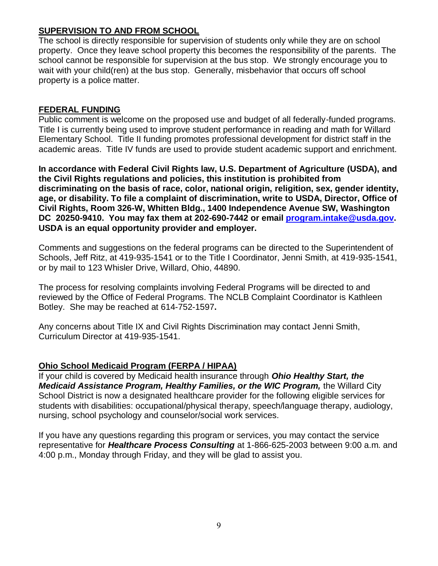#### **SUPERVISION TO AND FROM SCHOOL**

The school is directly responsible for supervision of students only while they are on school property. Once they leave school property this becomes the responsibility of the parents. The school cannot be responsible for supervision at the bus stop. We strongly encourage you to wait with your child(ren) at the bus stop. Generally, misbehavior that occurs off school property is a police matter.

#### **FEDERAL FUNDING**

Public comment is welcome on the proposed use and budget of all federally-funded programs. Title I is currently being used to improve student performance in reading and math for Willard Elementary School. Title II funding promotes professional development for district staff in the academic areas. Title IV funds are used to provide student academic support and enrichment.

**In accordance with Federal Civil Rights law, U.S. Department of Agriculture (USDA), and the Civil Rights regulations and policies, this institution is prohibited from discriminating on the basis of race, color, national origin, religition, sex, gender identity, age, or disability. To file a complaint of discrimination, write to USDA, Director, Office of Civil Rights, Room 326-W, Whitten Bldg., 1400 Independence Avenue SW, Washington DC 20250-9410. You may fax them at 202-690-7442 or email [program.intake@usda.gov.](mailto:program.intake@usda.gov) USDA is an equal opportunity provider and employer.**

Comments and suggestions on the federal programs can be directed to the Superintendent of Schools, Jeff Ritz, at 419-935-1541 or to the Title I Coordinator, Jenni Smith, at 419-935-1541, or by mail to 123 Whisler Drive, Willard, Ohio, 44890.

The process for resolving complaints involving Federal Programs will be directed to and reviewed by the Office of Federal Programs. The NCLB Complaint Coordinator is Kathleen Botley. She may be reached at 614-752-1597**.**

Any concerns about Title IX and Civil Rights Discrimination may contact Jenni Smith, Curriculum Director at 419-935-1541.

#### **Ohio School Medicaid Program (FERPA / HIPAA)**

If your child is covered by Medicaid health insurance through *Ohio Healthy Start, the Medicaid Assistance Program, Healthy Families, or the WIC Program,* the Willard City School District is now a designated healthcare provider for the following eligible services for students with disabilities: occupational/physical therapy, speech/language therapy, audiology, nursing, school psychology and counselor/social work services.

If you have any questions regarding this program or services, you may contact the service representative for *Healthcare Process Consulting* at 1-866-625-2003 between 9:00 a.m. and 4:00 p.m., Monday through Friday, and they will be glad to assist you.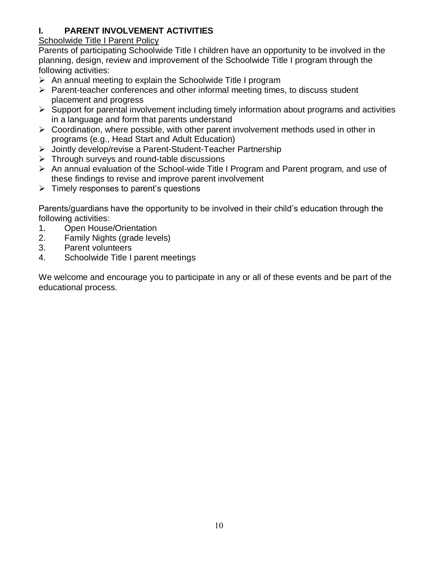#### **I. PARENT INVOLVEMENT ACTIVITIES**

#### Schoolwide Title I Parent Policy

Parents of participating Schoolwide Title I children have an opportunity to be involved in the planning, design, review and improvement of the Schoolwide Title I program through the following activities:

- $\triangleright$  An annual meeting to explain the Schoolwide Title I program
- $\triangleright$  Parent-teacher conferences and other informal meeting times, to discuss student placement and progress
- $\triangleright$  Support for parental involvement including timely information about programs and activities in a language and form that parents understand
- $\triangleright$  Coordination, where possible, with other parent involvement methods used in other in programs (e.g., Head Start and Adult Education)
- Jointly develop/revise a Parent-Student-Teacher Partnership
- $\triangleright$  Through surveys and round-table discussions
- $\triangleright$  An annual evaluation of the School-wide Title I Program and Parent program, and use of these findings to revise and improve parent involvement
- $\triangleright$  Timely responses to parent's questions

Parents/guardians have the opportunity to be involved in their child's education through the following activities:

- 1. Open House/Orientation
- 2. Family Nights (grade levels)
- 3. Parent volunteers
- 4. Schoolwide Title I parent meetings

We welcome and encourage you to participate in any or all of these events and be part of the educational process.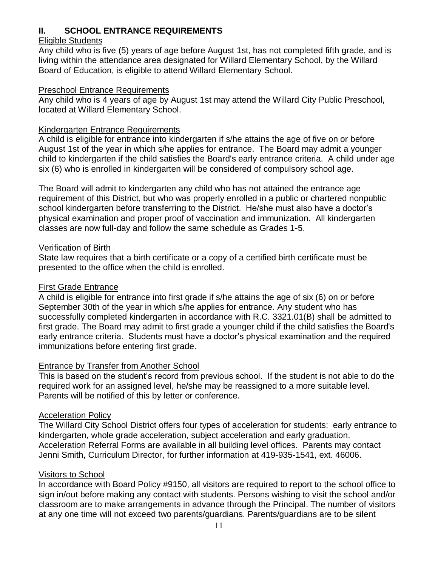#### **II. SCHOOL ENTRANCE REQUIREMENTS**

#### Eligible Students

Any child who is five (5) years of age before August 1st, has not completed fifth grade, and is living within the attendance area designated for Willard Elementary School, by the Willard Board of Education, is eligible to attend Willard Elementary School.

#### Preschool Entrance Requirements

Any child who is 4 years of age by August 1st may attend the Willard City Public Preschool, located at Willard Elementary School.

#### Kindergarten Entrance Requirements

A child is eligible for entrance into kindergarten if s/he attains the age of five on or before August 1st of the year in which s/he applies for entrance. The Board may admit a younger child to kindergarten if the child satisfies the Board's early entrance criteria. A child under age six (6) who is enrolled in kindergarten will be considered of compulsory school age.

The Board will admit to kindergarten any child who has not attained the entrance age requirement of this District, but who was properly enrolled in a public or chartered nonpublic school kindergarten before transferring to the District. He/she must also have a doctor's physical examination and proper proof of vaccination and immunization. All kindergarten classes are now full-day and follow the same schedule as Grades 1-5.

#### Verification of Birth

State law requires that a birth certificate or a copy of a certified birth certificate must be presented to the office when the child is enrolled.

#### First Grade Entrance

A child is eligible for entrance into first grade if s/he attains the age of six (6) on or before September 30th of the year in which s/he applies for entrance. Any student who has successfully completed kindergarten in accordance with R.C. 3321.01(B) shall be admitted to first grade. The Board may admit to first grade a younger child if the child satisfies the Board's early entrance criteria. Students must have a doctor's physical examination and the required immunizations before entering first grade.

#### Entrance by Transfer from Another School

This is based on the student's record from previous school. If the student is not able to do the required work for an assigned level, he/she may be reassigned to a more suitable level. Parents will be notified of this by letter or conference.

#### Acceleration Policy

The Willard City School District offers four types of acceleration for students: early entrance to kindergarten, whole grade acceleration, subject acceleration and early graduation. Acceleration Referral Forms are available in all building level offices. Parents may contact Jenni Smith, Curriculum Director, for further information at 419-935-1541, ext. 46006.

#### Visitors to School

In accordance with Board Policy #9150, all visitors are required to report to the school office to sign in/out before making any contact with students. Persons wishing to visit the school and/or classroom are to make arrangements in advance through the Principal. The number of visitors at any one time will not exceed two parents/guardians. Parents/guardians are to be silent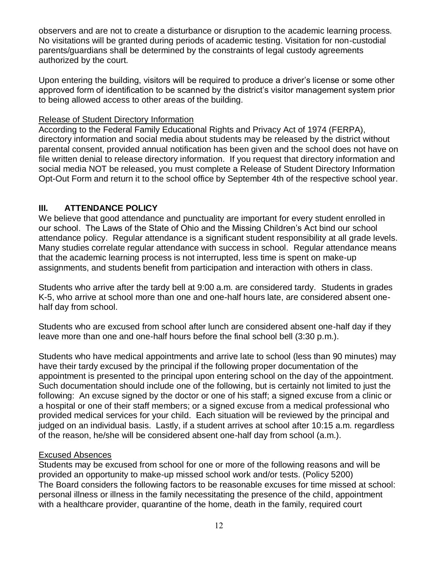observers and are not to create a disturbance or disruption to the academic learning process. No visitations will be granted during periods of academic testing. Visitation for non-custodial parents/guardians shall be determined by the constraints of legal custody agreements authorized by the court.

Upon entering the building, visitors will be required to produce a driver's license or some other approved form of identification to be scanned by the district's visitor management system prior to being allowed access to other areas of the building.

#### Release of Student Directory Information

According to the Federal Family Educational Rights and Privacy Act of 1974 (FERPA), directory information and social media about students may be released by the district without parental consent, provided annual notification has been given and the school does not have on file written denial to release directory information. If you request that directory information and social media NOT be released, you must complete a Release of Student Directory Information Opt-Out Form and return it to the school office by September 4th of the respective school year.

#### **III. ATTENDANCE POLICY**

We believe that good attendance and punctuality are important for every student enrolled in our school. The Laws of the State of Ohio and the Missing Children's Act bind our school attendance policy. Regular attendance is a significant student responsibility at all grade levels. Many studies correlate regular attendance with success in school. Regular attendance means that the academic learning process is not interrupted, less time is spent on make-up assignments, and students benefit from participation and interaction with others in class.

Students who arrive after the tardy bell at 9:00 a.m. are considered tardy. Students in grades K-5, who arrive at school more than one and one-half hours late, are considered absent onehalf day from school.

Students who are excused from school after lunch are considered absent one-half day if they leave more than one and one-half hours before the final school bell (3:30 p.m.).

Students who have medical appointments and arrive late to school (less than 90 minutes) may have their tardy excused by the principal if the following proper documentation of the appointment is presented to the principal upon entering school on the day of the appointment. Such documentation should include one of the following, but is certainly not limited to just the following: An excuse signed by the doctor or one of his staff; a signed excuse from a clinic or a hospital or one of their staff members; or a signed excuse from a medical professional who provided medical services for your child. Each situation will be reviewed by the principal and judged on an individual basis. Lastly, if a student arrives at school after 10:15 a.m. regardless of the reason, he/she will be considered absent one-half day from school (a.m.).

#### Excused Absences

Students may be excused from school for one or more of the following reasons and will be provided an opportunity to make-up missed school work and/or tests. (Policy 5200) The Board considers the following factors to be reasonable excuses for time missed at school: personal illness or illness in the family necessitating the presence of the child, appointment with a healthcare provider, quarantine of the home, death in the family, required court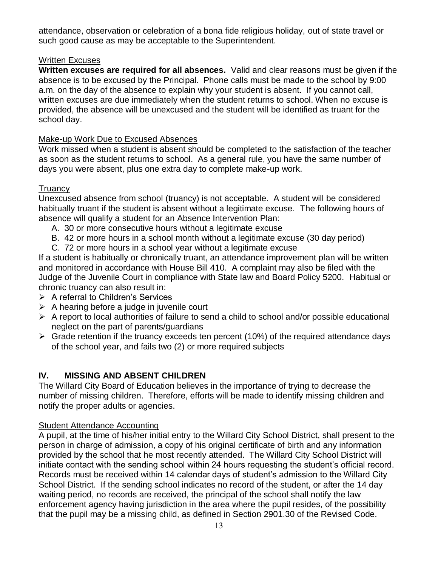attendance, observation or celebration of a bona fide religious holiday, out of state travel or such good cause as may be acceptable to the Superintendent.

#### Written Excuses

**Written excuses are required for all absences.** Valid and clear reasons must be given if the absence is to be excused by the Principal. Phone calls must be made to the school by 9:00 a.m. on the day of the absence to explain why your student is absent. If you cannot call, written excuses are due immediately when the student returns to school. When no excuse is provided, the absence will be unexcused and the student will be identified as truant for the school day.

#### Make-up Work Due to Excused Absences

Work missed when a student is absent should be completed to the satisfaction of the teacher as soon as the student returns to school. As a general rule, you have the same number of days you were absent, plus one extra day to complete make-up work.

#### **Truancy**

Unexcused absence from school (truancy) is not acceptable. A student will be considered habitually truant if the student is absent without a legitimate excuse. The following hours of absence will qualify a student for an Absence Intervention Plan:

- A. 30 or more consecutive hours without a legitimate excuse
- B. 42 or more hours in a school month without a legitimate excuse (30 day period)
- C. 72 or more hours in a school year without a legitimate excuse

If a student is habitually or chronically truant, an attendance improvement plan will be written and monitored in accordance with House Bill 410. A complaint may also be filed with the Judge of the Juvenile Court in compliance with State law and Board Policy 5200. Habitual or chronic truancy can also result in:

- $\triangleright$  A referral to Children's Services
- $\triangleright$  A hearing before a judge in juvenile court
- $\triangleright$  A report to local authorities of failure to send a child to school and/or possible educational neglect on the part of parents/guardians
- $\triangleright$  Grade retention if the truancy exceeds ten percent (10%) of the required attendance days of the school year, and fails two (2) or more required subjects

#### **IV. MISSING AND ABSENT CHILDREN**

The Willard City Board of Education believes in the importance of trying to decrease the number of missing children. Therefore, efforts will be made to identify missing children and notify the proper adults or agencies.

#### Student Attendance Accounting

A pupil, at the time of his/her initial entry to the Willard City School District, shall present to the person in charge of admission, a copy of his original certificate of birth and any information provided by the school that he most recently attended. The Willard City School District will initiate contact with the sending school within 24 hours requesting the student's official record. Records must be received within 14 calendar days of student's admission to the Willard City School District. If the sending school indicates no record of the student, or after the 14 day waiting period, no records are received, the principal of the school shall notify the law enforcement agency having jurisdiction in the area where the pupil resides, of the possibility that the pupil may be a missing child, as defined in Section 2901.30 of the Revised Code.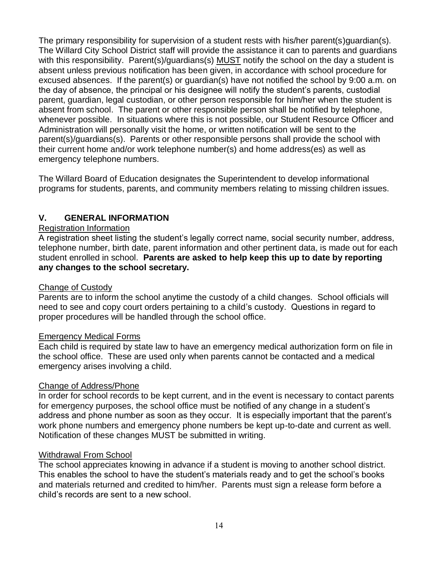The primary responsibility for supervision of a student rests with his/her parent(s)quardian(s). The Willard City School District staff will provide the assistance it can to parents and guardians with this responsibility. Parent(s)/guardians(s) MUST notify the school on the day a student is absent unless previous notification has been given, in accordance with school procedure for excused absences. If the parent(s) or guardian(s) have not notified the school by 9:00 a.m. on the day of absence, the principal or his designee will notify the student's parents, custodial parent, guardian, legal custodian, or other person responsible for him/her when the student is absent from school. The parent or other responsible person shall be notified by telephone, whenever possible. In situations where this is not possible, our Student Resource Officer and Administration will personally visit the home, or written notification will be sent to the parent(s)/guardians(s). Parents or other responsible persons shall provide the school with their current home and/or work telephone number(s) and home address(es) as well as emergency telephone numbers.

The Willard Board of Education designates the Superintendent to develop informational programs for students, parents, and community members relating to missing children issues.

#### **V. GENERAL INFORMATION**

#### Registration Information

A registration sheet listing the student's legally correct name, social security number, address, telephone number, birth date, parent information and other pertinent data, is made out for each student enrolled in school. **Parents are asked to help keep this up to date by reporting any changes to the school secretary.**

#### Change of Custody

Parents are to inform the school anytime the custody of a child changes. School officials will need to see and copy court orders pertaining to a child's custody. Questions in regard to proper procedures will be handled through the school office.

#### Emergency Medical Forms

Each child is required by state law to have an emergency medical authorization form on file in the school office. These are used only when parents cannot be contacted and a medical emergency arises involving a child.

#### Change of Address/Phone

In order for school records to be kept current, and in the event is necessary to contact parents for emergency purposes, the school office must be notified of any change in a student's address and phone number as soon as they occur. It is especially important that the parent's work phone numbers and emergency phone numbers be kept up-to-date and current as well. Notification of these changes MUST be submitted in writing.

#### Withdrawal From School

The school appreciates knowing in advance if a student is moving to another school district. This enables the school to have the student's materials ready and to get the school's books and materials returned and credited to him/her. Parents must sign a release form before a child's records are sent to a new school.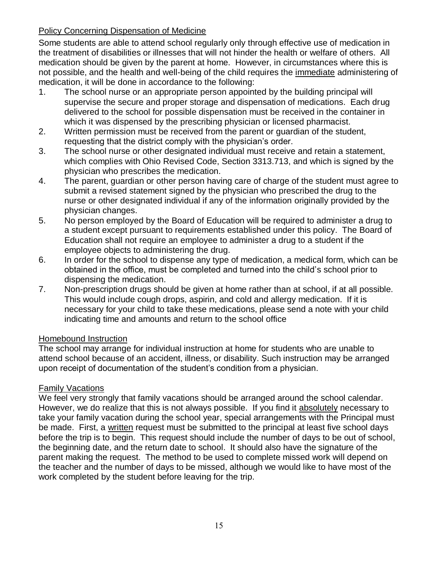#### **Policy Concerning Dispensation of Medicine**

Some students are able to attend school regularly only through effective use of medication in the treatment of disabilities or illnesses that will not hinder the health or welfare of others. All medication should be given by the parent at home. However, in circumstances where this is not possible, and the health and well-being of the child requires the immediate administering of medication, it will be done in accordance to the following:

- 1. The school nurse or an appropriate person appointed by the building principal will supervise the secure and proper storage and dispensation of medications. Each drug delivered to the school for possible dispensation must be received in the container in which it was dispensed by the prescribing physician or licensed pharmacist.
- 2. Written permission must be received from the parent or guardian of the student, requesting that the district comply with the physician's order.
- 3. The school nurse or other designated individual must receive and retain a statement, which complies with Ohio Revised Code, Section 3313.713, and which is signed by the physician who prescribes the medication.
- 4. The parent, guardian or other person having care of charge of the student must agree to submit a revised statement signed by the physician who prescribed the drug to the nurse or other designated individual if any of the information originally provided by the physician changes.
- 5. No person employed by the Board of Education will be required to administer a drug to a student except pursuant to requirements established under this policy. The Board of Education shall not require an employee to administer a drug to a student if the employee objects to administering the drug.
- 6. In order for the school to dispense any type of medication, a medical form, which can be obtained in the office, must be completed and turned into the child's school prior to dispensing the medication.
- 7. Non-prescription drugs should be given at home rather than at school, if at all possible. This would include cough drops, aspirin, and cold and allergy medication. If it is necessary for your child to take these medications, please send a note with your child indicating time and amounts and return to the school office

#### Homebound Instruction

The school may arrange for individual instruction at home for students who are unable to attend school because of an accident, illness, or disability. Such instruction may be arranged upon receipt of documentation of the student's condition from a physician.

#### Family Vacations

We feel very strongly that family vacations should be arranged around the school calendar. However, we do realize that this is not always possible. If you find it absolutely necessary to take your family vacation during the school year, special arrangements with the Principal must be made. First, a written request must be submitted to the principal at least five school days before the trip is to begin. This request should include the number of days to be out of school, the beginning date, and the return date to school. It should also have the signature of the parent making the request. The method to be used to complete missed work will depend on the teacher and the number of days to be missed, although we would like to have most of the work completed by the student before leaving for the trip.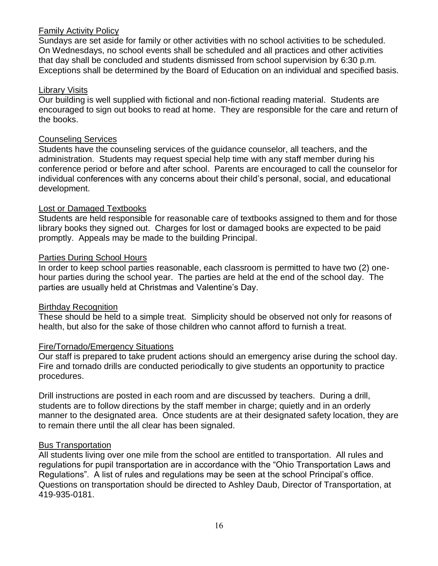#### Family Activity Policy

Sundays are set aside for family or other activities with no school activities to be scheduled. On Wednesdays, no school events shall be scheduled and all practices and other activities that day shall be concluded and students dismissed from school supervision by 6:30 p.m. Exceptions shall be determined by the Board of Education on an individual and specified basis.

#### Library Visits

Our building is well supplied with fictional and non-fictional reading material. Students are encouraged to sign out books to read at home. They are responsible for the care and return of the books.

#### Counseling Services

Students have the counseling services of the guidance counselor, all teachers, and the administration. Students may request special help time with any staff member during his conference period or before and after school. Parents are encouraged to call the counselor for individual conferences with any concerns about their child's personal, social, and educational development.

#### Lost or Damaged Textbooks

Students are held responsible for reasonable care of textbooks assigned to them and for those library books they signed out. Charges for lost or damaged books are expected to be paid promptly. Appeals may be made to the building Principal.

#### Parties During School Hours

In order to keep school parties reasonable, each classroom is permitted to have two (2) onehour parties during the school year. The parties are held at the end of the school day. The parties are usually held at Christmas and Valentine's Day.

#### Birthday Recognition

These should be held to a simple treat. Simplicity should be observed not only for reasons of health, but also for the sake of those children who cannot afford to furnish a treat.

#### Fire/Tornado/Emergency Situations

Our staff is prepared to take prudent actions should an emergency arise during the school day. Fire and tornado drills are conducted periodically to give students an opportunity to practice procedures.

Drill instructions are posted in each room and are discussed by teachers. During a drill, students are to follow directions by the staff member in charge; quietly and in an orderly manner to the designated area. Once students are at their designated safety location, they are to remain there until the all clear has been signaled.

#### Bus Transportation

All students living over one mile from the school are entitled to transportation. All rules and regulations for pupil transportation are in accordance with the "Ohio Transportation Laws and Regulations". A list of rules and regulations may be seen at the school Principal's office. Questions on transportation should be directed to Ashley Daub, Director of Transportation, at 419-935-0181.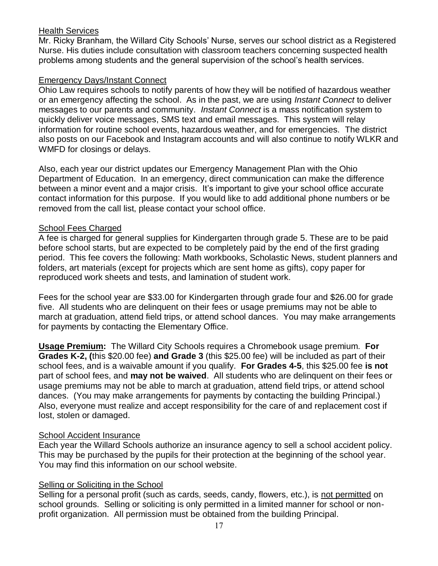#### Health Services

Mr. Ricky Branham, the Willard City Schools' Nurse, serves our school district as a Registered Nurse. His duties include consultation with classroom teachers concerning suspected health problems among students and the general supervision of the school's health services.

#### Emergency Days/Instant Connect

Ohio Law requires schools to notify parents of how they will be notified of hazardous weather or an emergency affecting the school. As in the past, we are using *Instant Connect* to deliver messages to our parents and community. *Instant Connect* is a mass notification system to quickly deliver voice messages, SMS text and email messages. This system will relay information for routine school events, hazardous weather, and for emergencies. The district also posts on our Facebook and Instagram accounts and will also continue to notify WLKR and WMFD for closings or delays.

Also, each year our district updates our Emergency Management Plan with the Ohio Department of Education. In an emergency, direct communication can make the difference between a minor event and a major crisis. It's important to give your school office accurate contact information for this purpose. If you would like to add additional phone numbers or be removed from the call list, please contact your school office.

#### School Fees Charged

A fee is charged for general supplies for Kindergarten through grade 5. These are to be paid before school starts, but are expected to be completely paid by the end of the first grading period. This fee covers the following: Math workbooks, Scholastic News, student planners and folders, art materials (except for projects which are sent home as gifts), copy paper for reproduced work sheets and tests, and lamination of student work.

Fees for the school year are \$33.00 for Kindergarten through grade four and \$26.00 for grade five. All students who are delinquent on their fees or usage premiums may not be able to march at graduation, attend field trips, or attend school dances. You may make arrangements for payments by contacting the Elementary Office.

**Usage Premium:** The Willard City Schools requires a Chromebook usage premium. **For Grades K-2, (**this \$20.00 fee) **and Grade 3** (this \$25.00 fee) will be included as part of their school fees, and is a waivable amount if you qualify. **For Grades 4-5**, this \$25.00 fee **is not** part of school fees, and **may not be waived**. All students who are delinquent on their fees or usage premiums may not be able to march at graduation, attend field trips, or attend school dances. (You may make arrangements for payments by contacting the building Principal.) Also, everyone must realize and accept responsibility for the care of and replacement cost if lost, stolen or damaged.

#### School Accident Insurance

Each year the Willard Schools authorize an insurance agency to sell a school accident policy. This may be purchased by the pupils for their protection at the beginning of the school year. You may find this information on our school website.

#### Selling or Soliciting in the School

Selling for a personal profit (such as cards, seeds, candy, flowers, etc.), is not permitted on school grounds. Selling or soliciting is only permitted in a limited manner for school or nonprofit organization. All permission must be obtained from the building Principal.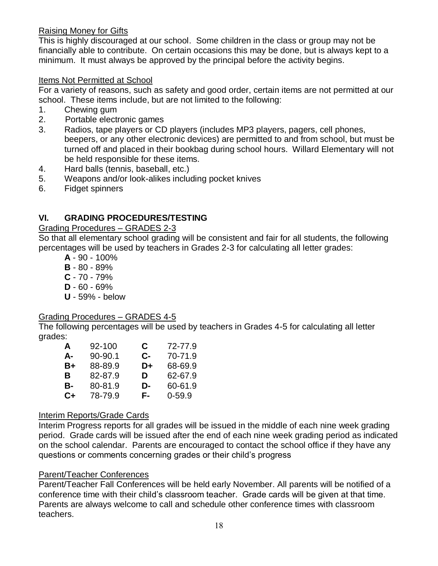#### Raising Money for Gifts

This is highly discouraged at our school. Some children in the class or group may not be financially able to contribute. On certain occasions this may be done, but is always kept to a minimum. It must always be approved by the principal before the activity begins.

#### Items Not Permitted at School

For a variety of reasons, such as safety and good order, certain items are not permitted at our school. These items include, but are not limited to the following:

- 1. Chewing gum
- 2. Portable electronic games
- 3. Radios, tape players or CD players (includes MP3 players, pagers, cell phones, beepers, or any other electronic devices) are permitted to and from school, but must be turned off and placed in their bookbag during school hours. Willard Elementary will not be held responsible for these items.
- 4. Hard balls (tennis, baseball, etc.)
- 5. Weapons and/or look-alikes including pocket knives
- 6. Fidget spinners

#### **VI. GRADING PROCEDURES/TESTING**

Grading Procedures – GRADES 2-3

So that all elementary school grading will be consistent and fair for all students, the following percentages will be used by teachers in Grades 2-3 for calculating all letter grades:

- **A** 90 100%
- **B** 80 89%
- **C** 70 79%
- **D** 60 69%
- **U** 59% below

#### Grading Procedures – GRADES 4-5

The following percentages will be used by teachers in Grades 4-5 for calculating all letter grades:

| A  | 92-100  | C. | 72-77.9    |
|----|---------|----|------------|
| A- | 90-90.1 | С- | 70-71.9    |
| B+ | 88-89.9 | D+ | 68-69.9    |
| в  | 82-87.9 | D  | 62-67.9    |
| В- | 80-81.9 | D- | 60-61.9    |
| C+ | 78-79.9 | F- | $0 - 59.9$ |

#### Interim Reports/Grade Cards

Interim Progress reports for all grades will be issued in the middle of each nine week grading period. Grade cards will be issued after the end of each nine week grading period as indicated on the school calendar. Parents are encouraged to contact the school office if they have any questions or comments concerning grades or their child's progress

#### Parent/Teacher Conferences

Parent/Teacher Fall Conferences will be held early November. All parents will be notified of a conference time with their child's classroom teacher. Grade cards will be given at that time. Parents are always welcome to call and schedule other conference times with classroom teachers.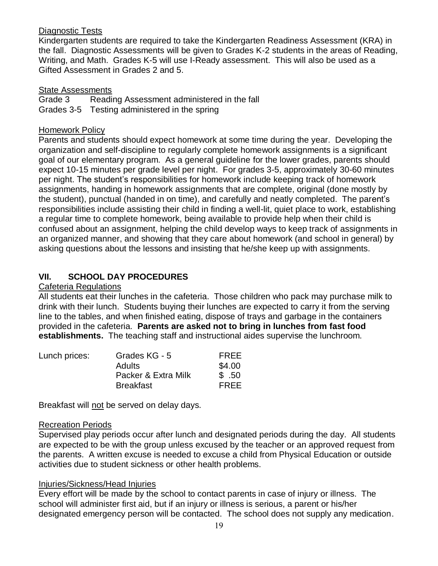#### Diagnostic Tests

Kindergarten students are required to take the Kindergarten Readiness Assessment (KRA) in the fall. Diagnostic Assessments will be given to Grades K-2 students in the areas of Reading, Writing, and Math. Grades K-5 will use I-Ready assessment. This will also be used as a Gifted Assessment in Grades 2 and 5.

#### State Assessments

Grade 3 Reading Assessment administered in the fall Grades 3-5 Testing administered in the spring

#### Homework Policy

Parents and students should expect homework at some time during the year. Developing the organization and self-discipline to regularly complete homework assignments is a significant goal of our elementary program. As a general guideline for the lower grades, parents should expect 10-15 minutes per grade level per night. For grades 3-5, approximately 30-60 minutes per night. The student's responsibilities for homework include keeping track of homework assignments, handing in homework assignments that are complete, original (done mostly by the student), punctual (handed in on time), and carefully and neatly completed. The parent's responsibilities include assisting their child in finding a well-lit, quiet place to work, establishing a regular time to complete homework, being available to provide help when their child is confused about an assignment, helping the child develop ways to keep track of assignments in an organized manner, and showing that they care about homework (and school in general) by asking questions about the lessons and insisting that he/she keep up with assignments.

#### **VII. SCHOOL DAY PROCEDURES**

#### Cafeteria Regulations

All students eat their lunches in the cafeteria. Those children who pack may purchase milk to drink with their lunch. Students buying their lunches are expected to carry it from the serving line to the tables, and when finished eating, dispose of trays and garbage in the containers provided in the cafeteria. **Parents are asked not to bring in lunches from fast food establishments.** The teaching staff and instructional aides supervise the lunchroom.

| Lunch prices: | Grades KG - 5       | FREE        |
|---------------|---------------------|-------------|
|               | <b>Adults</b>       | \$4.00      |
|               | Packer & Extra Milk | \$.50       |
|               | <b>Breakfast</b>    | <b>FRFF</b> |

Breakfast will not be served on delay days.

#### Recreation Periods

Supervised play periods occur after lunch and designated periods during the day. All students are expected to be with the group unless excused by the teacher or an approved request from the parents. A written excuse is needed to excuse a child from Physical Education or outside activities due to student sickness or other health problems.

#### Injuries/Sickness/Head Injuries

Every effort will be made by the school to contact parents in case of injury or illness. The school will administer first aid, but if an injury or illness is serious, a parent or his/her designated emergency person will be contacted. The school does not supply any medication.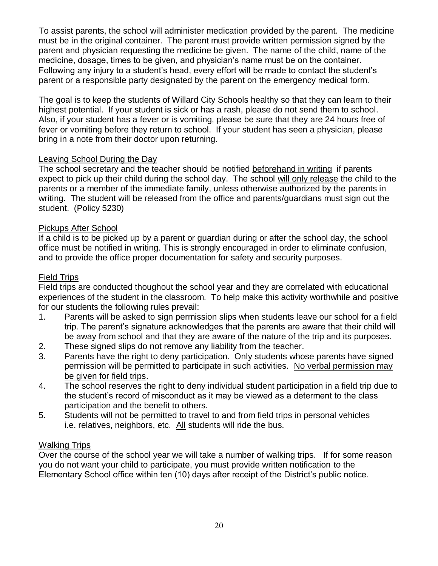To assist parents, the school will administer medication provided by the parent. The medicine must be in the original container. The parent must provide written permission signed by the parent and physician requesting the medicine be given. The name of the child, name of the medicine, dosage, times to be given, and physician's name must be on the container. Following any injury to a student's head, every effort will be made to contact the student's parent or a responsible party designated by the parent on the emergency medical form.

The goal is to keep the students of Willard City Schools healthy so that they can learn to their highest potential. If your student is sick or has a rash, please do not send them to school. Also, if your student has a fever or is vomiting, please be sure that they are 24 hours free of fever or vomiting before they return to school. If your student has seen a physician, please bring in a note from their doctor upon returning.

#### Leaving School During the Day

The school secretary and the teacher should be notified beforehand in writing if parents expect to pick up their child during the school day. The school will only release the child to the parents or a member of the immediate family, unless otherwise authorized by the parents in writing. The student will be released from the office and parents/guardians must sign out the student. (Policy 5230)

#### Pickups After School

If a child is to be picked up by a parent or guardian during or after the school day, the school office must be notified in writing. This is strongly encouraged in order to eliminate confusion, and to provide the office proper documentation for safety and security purposes.

#### Field Trips

Field trips are conducted thoughout the school year and they are correlated with educational experiences of the student in the classroom. To help make this activity worthwhile and positive for our students the following rules prevail:

- 1. Parents will be asked to sign permission slips when students leave our school for a field trip. The parent's signature acknowledges that the parents are aware that their child will be away from school and that they are aware of the nature of the trip and its purposes.
- 2. These signed slips do not remove any liability from the teacher.
- 3. Parents have the right to deny participation. Only students whose parents have signed permission will be permitted to participate in such activities. No verbal permission may be given for field trips.
- 4. The school reserves the right to deny individual student participation in a field trip due to the student's record of misconduct as it may be viewed as a determent to the class participation and the benefit to others.
- 5. Students will not be permitted to travel to and from field trips in personal vehicles i.e. relatives, neighbors, etc. All students will ride the bus.

#### Walking Trips

Over the course of the school year we will take a number of walking trips. If for some reason you do not want your child to participate, you must provide written notification to the Elementary School office within ten (10) days after receipt of the District's public notice.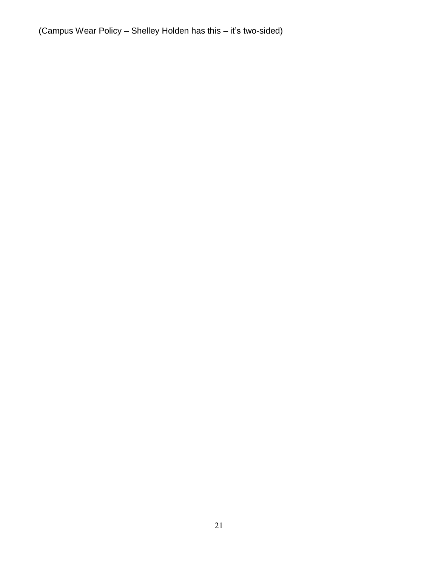(Campus Wear Policy – Shelley Holden has this – it's two-sided)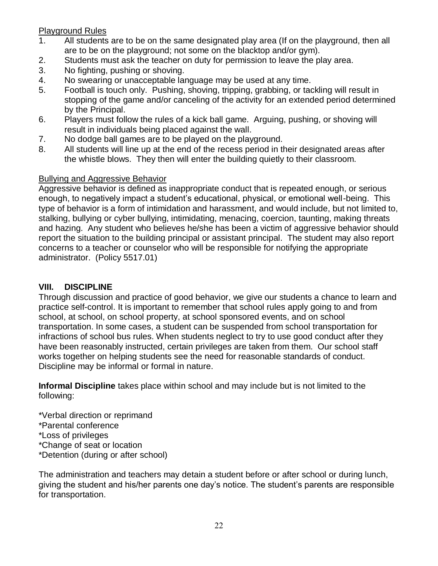#### Playground Rules

- 1. All students are to be on the same designated play area (If on the playground, then all are to be on the playground; not some on the blacktop and/or gym).
- 2. Students must ask the teacher on duty for permission to leave the play area.
- 3. No fighting, pushing or shoving.
- 4. No swearing or unacceptable language may be used at any time.
- 5. Football is touch only. Pushing, shoving, tripping, grabbing, or tackling will result in stopping of the game and/or canceling of the activity for an extended period determined by the Principal.
- 6. Players must follow the rules of a kick ball game. Arguing, pushing, or shoving will result in individuals being placed against the wall.
- 7. No dodge ball games are to be played on the playground.
- 8. All students will line up at the end of the recess period in their designated areas after the whistle blows. They then will enter the building quietly to their classroom.

#### Bullying and Aggressive Behavior

Aggressive behavior is defined as inappropriate conduct that is repeated enough, or serious enough, to negatively impact a student's educational, physical, or emotional well-being. This type of behavior is a form of intimidation and harassment, and would include, but not limited to, stalking, bullying or cyber bullying, intimidating, menacing, coercion, taunting, making threats and hazing. Any student who believes he/she has been a victim of aggressive behavior should report the situation to the building principal or assistant principal. The student may also report concerns to a teacher or counselor who will be responsible for notifying the appropriate administrator. (Policy 5517.01)

#### **VIII. DISCIPLINE**

Through discussion and practice of good behavior, we give our students a chance to learn and practice self-control. It is important to remember that school rules apply going to and from school, at school, on school property, at school sponsored events, and on school transportation. In some cases, a student can be suspended from school transportation for infractions of school bus rules. When students neglect to try to use good conduct after they have been reasonably instructed, certain privileges are taken from them. Our school staff works together on helping students see the need for reasonable standards of conduct. Discipline may be informal or formal in nature.

**Informal Discipline** takes place within school and may include but is not limited to the following:

\*Verbal direction or reprimand \*Parental conference \*Loss of privileges \*Change of seat or location \*Detention (during or after school)

The administration and teachers may detain a student before or after school or during lunch, giving the student and his/her parents one day's notice. The student's parents are responsible for transportation.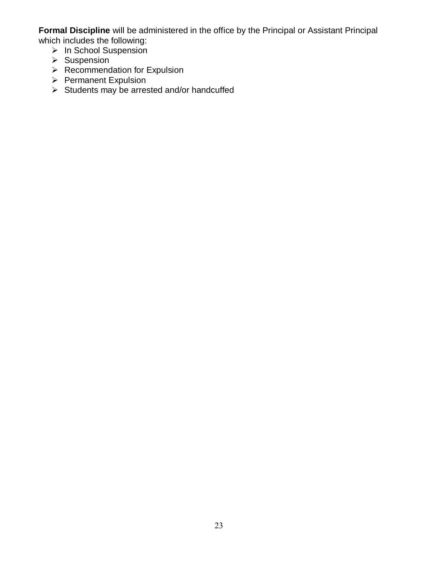**Formal Discipline** will be administered in the office by the Principal or Assistant Principal which includes the following:

- > In School Suspension
- $\triangleright$  Suspension
- $\triangleright$  Recommendation for Expulsion
- $\triangleright$  Permanent Expulsion
- $\triangleright$  Students may be arrested and/or handcuffed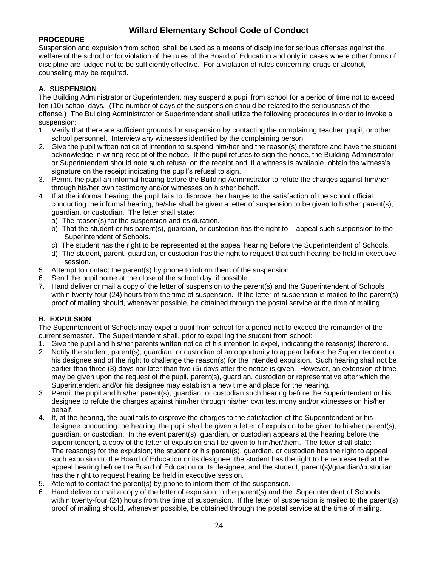#### **Willard Elementary School Code of Conduct**

#### **PROCEDURE**

Suspension and expulsion from school shall be used as a means of discipline for serious offenses against the welfare of the school or for violation of the rules of the Board of Education and only in cases where other forms of discipline are judged not to be sufficiently effective. For a violation of rules concerning drugs or alcohol, counseling may be required.

#### **A. SUSPENSION**

The Building Administrator or Superintendent may suspend a pupil from school for a period of time not to exceed ten (10) school days. (The number of days of the suspension should be related to the seriousness of the offense.) The Building Administrator or Superintendent shall utilize the following procedures in order to invoke a suspension:

- 1. Verify that there are sufficient grounds for suspension by contacting the complaining teacher, pupil, or other school personnel. Interview any witnesses identified by the complaining person.
- 2. Give the pupil written notice of intention to suspend him/her and the reason(s) therefore and have the student acknowledge in writing receipt of the notice. If the pupil refuses to sign the notice, the Building Administrator or Superintendent should note such refusal on the receipt and, if a witness is available, obtain the witness's signature on the receipt indicating the pupil's refusal to sign.
- 3. Permit the pupil an informal hearing before the Building Administrator to refute the charges against him/her through his/her own testimony and/or witnesses on his/her behalf.
- 4. If at the informal hearing, the pupil fails to disprove the charges to the satisfaction of the school official conducting the informal hearing, he/she shall be given a letter of suspension to be given to his/her parent(s), guardian, or custodian. The letter shall state:
	- a) The reason(s) for the suspension and its duration.
	- b) That the student or his parent(s), guardian, or custodian has the right to appeal such suspension to the Superintendent of Schools.
	- c) The student has the right to be represented at the appeal hearing before the Superintendent of Schools.
	- d) The student, parent, guardian, or custodian has the right to request that such hearing be held in executive session.
- 5. Attempt to contact the parent(s) by phone to inform them of the suspension.
- 6. Send the pupil home at the close of the school day, if possible.
- 7. Hand deliver or mail a copy of the letter of suspension to the parent(s) and the Superintendent of Schools within twenty-four (24) hours from the time of suspension. If the letter of suspension is mailed to the parent(s) proof of mailing should, whenever possible, be obtained through the postal service at the time of mailing.

#### **B. EXPULSION**

The Superintendent of Schools may expel a pupil from school for a period not to exceed the remainder of the current semester. The Superintendent shall, prior to expelling the student from school:

- 1. Give the pupil and his/her parents written notice of his intention to expel, indicating the reason(s) therefore.
- 2. Notify the student, parent(s), guardian, or custodian of an opportunity to appear before the Superintendent or his designee and of the right to challenge the reason(s) for the intended expulsion. Such hearing shall not be earlier than three (3) days nor later than five (5) days after the notice is given. However, an extension of time may be given upon the request of the pupil, parent(s), guardian, custodian or representative after which the Superintendent and/or his designee may establish a new time and place for the hearing.
- 3. Permit the pupil and his/her parent(s), guardian, or custodian such hearing before the Superintendent or his designee to refute the charges against him/her through his/her own testimony and/or witnesses on his/her behalf.
- 4. If, at the hearing, the pupil fails to disprove the charges to the satisfaction of the Superintendent or his designee conducting the hearing, the pupil shall be given a letter of expulsion to be given to his/her parent(s), guardian, or custodian. In the event parent(s), guardian, or custodian appears at the hearing before the superintendent, a copy of the letter of expulsion shall be given to him/her/them. The letter shall state: The reason(s) for the expulsion; the student or his parent(s), guardian, or custodian has the right to appeal such expulsion to the Board of Education or its designee; the student has the right to be represented at the appeal hearing before the Board of Education or its designee; and the student, parent(s)/guardian/custodian has the right to request hearing be held in executive session.
- 5. Attempt to contact the parent(s) by phone to inform them of the suspension.
- 6. Hand deliver or mail a copy of the letter of expulsion to the parent(s) and the Superintendent of Schools within twenty-four (24) hours from the time of suspension. If the letter of suspension is mailed to the parent(s) proof of mailing should, whenever possible, be obtained through the postal service at the time of mailing.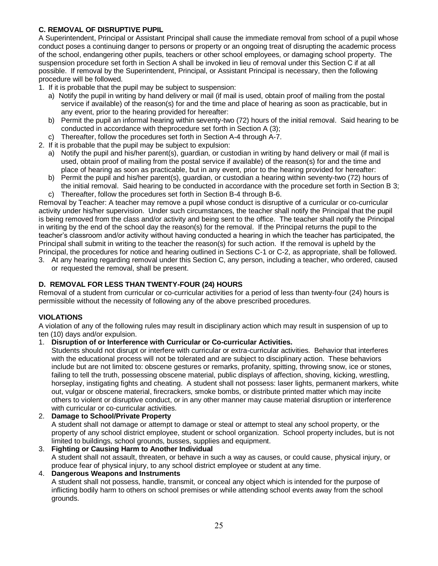#### **C. REMOVAL OF DISRUPTIVE PUPIL**

A Superintendent, Principal or Assistant Principal shall cause the immediate removal from school of a pupil whose conduct poses a continuing danger to persons or property or an ongoing treat of disrupting the academic process of the school, endangering other pupils, teachers or other school employees, or damaging school property. The suspension procedure set forth in Section A shall be invoked in lieu of removal under this Section C if at all possible. If removal by the Superintendent, Principal, or Assistant Principal is necessary, then the following procedure will be followed.

1. If it is probable that the pupil may be subject to suspension:

- a) Notify the pupil in writing by hand delivery or mail (if mail is used, obtain proof of mailing from the postal service if available) of the reason(s) for and the time and place of hearing as soon as practicable, but in any event, prior to the hearing provided for hereafter:
- b) Permit the pupil an informal hearing within seventy-two (72) hours of the initial removal. Said hearing to be conducted in accordance with theprocedure set forth in Section A (3);
- c) Thereafter, follow the procedures set forth in Section A-4 through A-7.
- 2. If it is probable that the pupil may be subject to expulsion:
	- a) Notify the pupil and his/her parent(s), guardian, or custodian in writing by hand delivery or mail (if mail is used, obtain proof of mailing from the postal service if available) of the reason(s) for and the time and place of hearing as soon as practicable, but in any event, prior to the hearing provided for hereafter:
	- b) Permit the pupil and his/her parent(s), guardian, or custodian a hearing within seventy-two (72) hours of the initial removal. Said hearing to be conducted in accordance with the procedure set forth in Section B 3;
	- c) Thereafter, follow the procedures set forth in Section B-4 through B-6.

Removal by Teacher: A teacher may remove a pupil whose conduct is disruptive of a curricular or co-curricular activity under his/her supervision. Under such circumstances, the teacher shall notify the Principal that the pupil is being removed from the class and/or activity and being sent to the office. The teacher shall notify the Principal in writing by the end of the school day the reason(s) for the removal. If the Principal returns the pupil to the teacher's classroom and/or activity without having conducted a hearing in which the teacher has participated, the Principal shall submit in writing to the teacher the reason(s) for such action. If the removal is upheld by the Principal, the procedures for notice and hearing outlined in Sections C-1 or C-2, as appropriate, shall be followed.

3. At any hearing regarding removal under this Section C, any person, including a teacher, who ordered, caused or requested the removal, shall be present.

#### **D. REMOVAL FOR LESS THAN TWENTY-FOUR (24) HOURS**

Removal of a student from curricular or co-curricular activities for a period of less than twenty-four (24) hours is permissible without the necessity of following any of the above prescribed procedures.

#### **VIOLATIONS**

A violation of any of the following rules may result in disciplinary action which may result in suspension of up to ten (10) days and/or expulsion.

1. **Disruption of or Interference with Curricular or Co-curricular Activities.**

Students should not disrupt or interfere with curricular or extra-curricular activities. Behavior that interferes with the educational process will not be tolerated and are subject to disciplinary action. These behaviors include but are not limited to: obscene gestures or remarks, profanity, spitting, throwing snow, ice or stones, failing to tell the truth, possessing obscene material, public displays of affection, shoving, kicking, wrestling, horseplay, instigating fights and cheating. A student shall not possess: laser lights, permanent markers, white out, vulgar or obscene material, firecrackers, smoke bombs, or distribute printed matter which may incite others to violent or disruptive conduct, or in any other manner may cause material disruption or interference with curricular or co-curricular activities.

#### 2. **Damage to School/Private Property**

A student shall not damage or attempt to damage or steal or attempt to steal any school property, or the property of any school district employee, student or school organization. School property includes, but is not limited to buildings, school grounds, busses, supplies and equipment.

- 3. **Fighting or Causing Harm to Another Individual** A student shall not assault, threaten, or behave in such a way as causes, or could cause, physical injury, or produce fear of physical injury, to any school district employee or student at any time. 4. **Dangerous Weapons and Instruments**
	- A student shall not possess, handle, transmit, or conceal any object which is intended for the purpose of inflicting bodily harm to others on school premises or while attending school events away from the school grounds.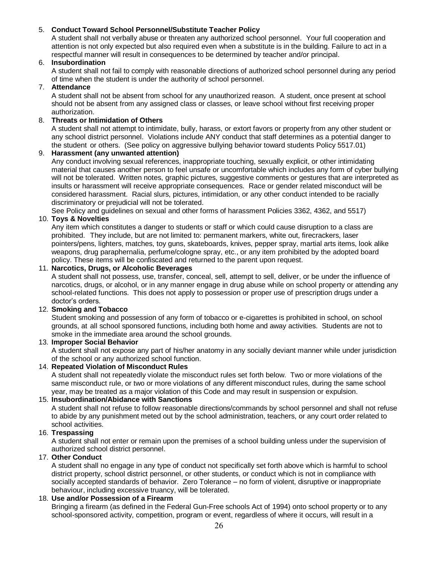#### 5. **Conduct Toward School Personnel/Substitute Teacher Policy**

A student shall not verbally abuse or threaten any authorized school personnel. Your full cooperation and attention is not only expected but also required even when a substitute is in the building. Failure to act in a respectful manner will result in consequences to be determined by teacher and/or principal.

#### 6. **Insubordination**

A student shall not fail to comply with reasonable directions of authorized school personnel during any period of time when the student is under the authority of school personnel.

#### 7. **Attendance**

A student shall not be absent from school for any unauthorized reason. A student, once present at school should not be absent from any assigned class or classes, or leave school without first receiving proper authorization.

#### 8. **Threats or Intimidation of Others**

A student shall not attempt to intimidate, bully, harass, or extort favors or property from any other student or any school district personnel. Violations include ANY conduct that staff determines as a potential danger to the student or others. (See policy on aggressive bullying behavior toward students Policy 5517.01)

#### 9. **Harassment (any unwanted attention)**

Any conduct involving sexual references, inappropriate touching, sexually explicit, or other intimidating material that causes another person to feel unsafe or uncomfortable which includes any form of cyber bullying will not be tolerated. Written notes, graphic pictures, suggestive comments or gestures that are interpreted as insults or harassment will receive appropriate consequences. Race or gender related misconduct will be considered harassment. Racial slurs, pictures, intimidation, or any other conduct intended to be racially discriminatory or prejudicial will not be tolerated.

See Policy and guidelines on sexual and other forms of harassment Policies 3362, 4362, and 5517)

#### 10. **Toys & Novelties**

Any item which constitutes a danger to students or staff or which could cause disruption to a class are prohibited. They include, but are not limited to: permanent markers, white out, firecrackers, laser pointers/pens, lighters, matches, toy guns, skateboards, knives, pepper spray, martial arts items, look alike weapons, drug paraphernalia, perfume/cologne spray, etc., or any item prohibited by the adopted board policy. These items will be confiscated and returned to the parent upon request.

#### 11. **Narcotics, Drugs, or Alcoholic Beverages**

A student shall not possess, use, transfer, conceal, sell, attempt to sell, deliver, or be under the influence of narcotics, drugs, or alcohol, or in any manner engage in drug abuse while on school property or attending any school-related functions. This does not apply to possession or proper use of prescription drugs under a doctor's orders.

#### 12. **Smoking and Tobacco**

Student smoking and possession of any form of tobacco or e-cigarettes is prohibited in school, on school grounds, at all school sponsored functions, including both home and away activities. Students are not to smoke in the immediate area around the school grounds.

#### 13. **Improper Social Behavior**

A student shall not expose any part of his/her anatomy in any socially deviant manner while under jurisdiction of the school or any authorized school function.

#### 14. **Repeated Violation of Misconduct Rules**

A student shall not repeatedly violate the misconduct rules set forth below. Two or more violations of the same misconduct rule, or two or more violations of any different misconduct rules, during the same school year, may be treated as a major violation of this Code and may result in suspension or expulsion.

#### 15. **Insubordination/Abidance with Sanctions**

A student shall not refuse to follow reasonable directions/commands by school personnel and shall not refuse to abide by any punishment meted out by the school administration, teachers, or any court order related to school activities.

#### 16. **Trespassing**

A student shall not enter or remain upon the premises of a school building unless under the supervision of authorized school district personnel.

#### 17. **Other Conduct**

A student shall no engage in any type of conduct not specifically set forth above which is harmful to school district property, school district personnel, or other students, or conduct which is not in compliance with socially accepted standards of behavior. Zero Tolerance – no form of violent, disruptive or inappropriate behaviour, including excessive truancy, will be tolerated.

#### 18. **Use and/or Possession of a Firearm**

Bringing a firearm (as defined in the Federal Gun-Free schools Act of 1994) onto school property or to any school-sponsored activity, competition, program or event, regardless of where it occurs, will result in a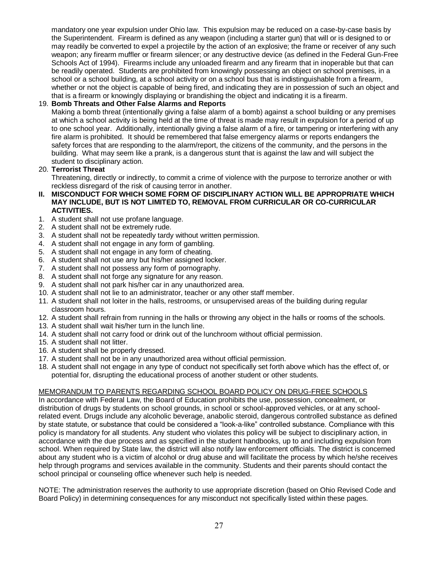mandatory one year expulsion under Ohio law. This expulsion may be reduced on a case-by-case basis by the Superintendent. Firearm is defined as any weapon (including a starter gun) that will or is designed to or may readily be converted to expel a projectile by the action of an explosive; the frame or receiver of any such weapon; any firearm muffler or firearm silencer; or any destructive device (as defined in the Federal Gun-Free Schools Act of 1994). Firearms include any unloaded firearm and any firearm that in inoperable but that can be readily operated. Students are prohibited from knowingly possessing an object on school premises, in a school or a school building, at a school activity or on a school bus that is indistinguishable from a firearm, whether or not the object is capable of being fired, and indicating they are in possession of such an object and that is a firearm or knowingly displaying or brandishing the object and indicating it is a firearm.

#### 19. **Bomb Threats and Other False Alarms and Reports**

Making a bomb threat (intentionally giving a false alarm of a bomb) against a school building or any premises at which a school activity is being held at the time of threat is made may result in expulsion for a period of up to one school year. Additionally, intentionally giving a false alarm of a fire, or tampering or interfering with any fire alarm is prohibited. It should be remembered that false emergency alarms or reports endangers the safety forces that are responding to the alarm/report, the citizens of the community, and the persons in the building. What may seem like a prank, is a dangerous stunt that is against the law and will subject the student to disciplinary action.

#### 20. **Terrorist Threat**

Threatening, directly or indirectly, to commit a crime of violence with the purpose to terrorize another or with reckless disregard of the risk of causing terror in another.

- **II. MISCONDUCT FOR WHICH SOME FORM OF DISCIPLINARY ACTION WILL BE APPROPRIATE WHICH MAY INCLUDE, BUT IS NOT LIMITED TO, REMOVAL FROM CURRICULAR OR CO-CURRICULAR ACTIVITIES.**
- 1. A student shall not use profane language.
- 2. A student shall not be extremely rude.
- 3. A student shall not be repeatedly tardy without written permission.
- 4. A student shall not engage in any form of gambling.
- 5. A student shall not engage in any form of cheating.
- 6. A student shall not use any but his/her assigned locker.
- 7. A student shall not possess any form of pornography.
- 8. A student shall not forge any signature for any reason.
- 9. A student shall not park his/her car in any unauthorized area.
- 10. A student shall not lie to an administrator, teacher or any other staff member.
- 11. A student shall not loiter in the halls, restrooms, or unsupervised areas of the building during regular classroom hours.
- 12. A student shall refrain from running in the halls or throwing any object in the halls or rooms of the schools.
- 13. A student shall wait his/her turn in the lunch line.
- 14. A student shall not carry food or drink out of the lunchroom without official permission.
- 15. A student shall not litter.
- 16. A student shall be properly dressed.
- 17. A student shall not be in any unauthorized area without official permission.
- 18. A student shall not engage in any type of conduct not specifically set forth above which has the effect of, or potential for, disrupting the educational process of another student or other students.

#### MEMORANDUM TO PARENTS REGARDING SCHOOL BOARD POLICY ON DRUG-FREE SCHOOLS

In accordance with Federal Law, the Board of Education prohibits the use, possession, concealment, or distribution of drugs by students on school grounds, in school or school-approved vehicles, or at any schoolrelated event. Drugs include any alcoholic beverage, anabolic steroid, dangerous controlled substance as defined by state statute, or substance that could be considered a "look-a-like" controlled substance. Compliance with this policy is mandatory for all students. Any student who violates this policy will be subject to disciplinary action, in accordance with the due process and as specified in the student handbooks, up to and including expulsion from school. When required by State law, the district will also notify law enforcement officials. The district is concerned about any student who is a victim of alcohol or drug abuse and will facilitate the process by which he/she receives help through programs and services available in the community. Students and their parents should contact the school principal or counseling office whenever such help is needed.

NOTE: The administration reserves the authority to use appropriate discretion (based on Ohio Revised Code and Board Policy) in determining consequences for any misconduct not specifically listed within these pages.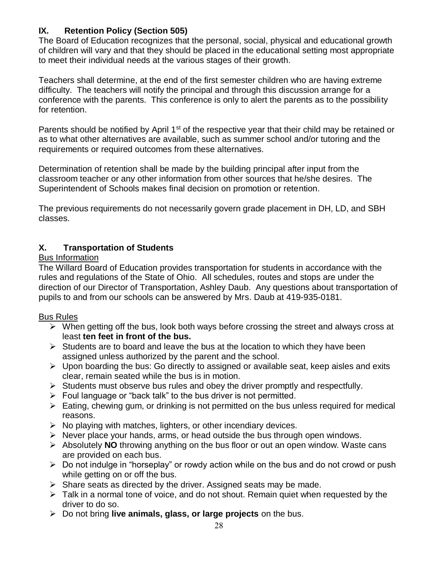#### **IX. Retention Policy (Section 505)**

The Board of Education recognizes that the personal, social, physical and educational growth of children will vary and that they should be placed in the educational setting most appropriate to meet their individual needs at the various stages of their growth.

Teachers shall determine, at the end of the first semester children who are having extreme difficulty. The teachers will notify the principal and through this discussion arrange for a conference with the parents. This conference is only to alert the parents as to the possibility for retention.

Parents should be notified by April 1<sup>st</sup> of the respective year that their child may be retained or as to what other alternatives are available, such as summer school and/or tutoring and the requirements or required outcomes from these alternatives.

Determination of retention shall be made by the building principal after input from the classroom teacher or any other information from other sources that he/she desires. The Superintendent of Schools makes final decision on promotion or retention.

The previous requirements do not necessarily govern grade placement in DH, LD, and SBH classes.

#### **X. Transportation of Students**

#### Bus Information

The Willard Board of Education provides transportation for students in accordance with the rules and regulations of the State of Ohio. All schedules, routes and stops are under the direction of our Director of Transportation, Ashley Daub. Any questions about transportation of pupils to and from our schools can be answered by Mrs. Daub at 419-935-0181.

#### Bus Rules

- $\triangleright$  When getting off the bus, look both ways before crossing the street and always cross at least **ten feet in front of the bus.**
- $\triangleright$  Students are to board and leave the bus at the location to which they have been assigned unless authorized by the parent and the school.
- $\triangleright$  Upon boarding the bus: Go directly to assigned or available seat, keep aisles and exits clear, remain seated while the bus is in motion.
- $\triangleright$  Students must observe bus rules and obey the driver promptly and respectfully.
- $\triangleright$  Foul language or "back talk" to the bus driver is not permitted.
- $\triangleright$  Eating, chewing gum, or drinking is not permitted on the bus unless required for medical reasons.
- $\triangleright$  No playing with matches, lighters, or other incendiary devices.
- $\triangleright$  Never place your hands, arms, or head outside the bus through open windows.
- Absolutely **NO** throwing anything on the bus floor or out an open window. Waste cans are provided on each bus.
- $\triangleright$  Do not indulge in "horseplay" or rowdy action while on the bus and do not crowd or push while getting on or off the bus.
- $\triangleright$  Share seats as directed by the driver. Assigned seats may be made.
- $\triangleright$  Talk in a normal tone of voice, and do not shout. Remain quiet when requested by the driver to do so.
- Do not bring **live animals, glass, or large projects** on the bus.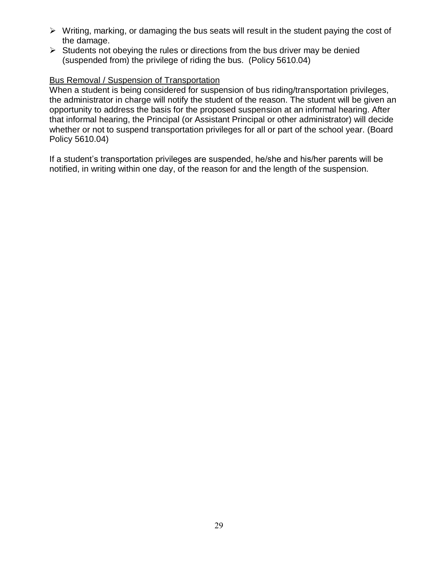- $\triangleright$  Writing, marking, or damaging the bus seats will result in the student paying the cost of the damage.
- $\triangleright$  Students not obeying the rules or directions from the bus driver may be denied (suspended from) the privilege of riding the bus. (Policy 5610.04)

#### Bus Removal / Suspension of Transportation

When a student is being considered for suspension of bus riding/transportation privileges, the administrator in charge will notify the student of the reason. The student will be given an opportunity to address the basis for the proposed suspension at an informal hearing. After that informal hearing, the Principal (or Assistant Principal or other administrator) will decide whether or not to suspend transportation privileges for all or part of the school year. (Board Policy 5610.04)

If a student's transportation privileges are suspended, he/she and his/her parents will be notified, in writing within one day, of the reason for and the length of the suspension.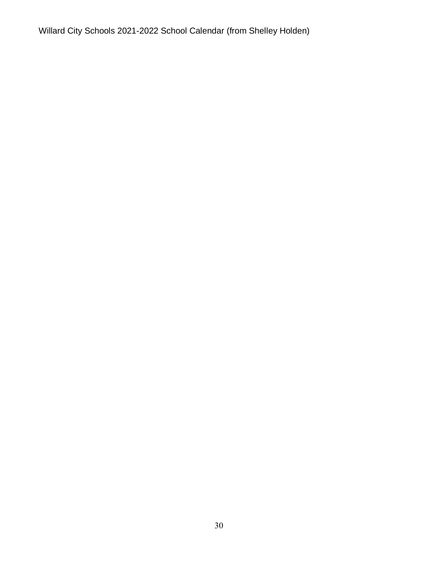Willard City Schools 2021-2022 School Calendar (from Shelley Holden)